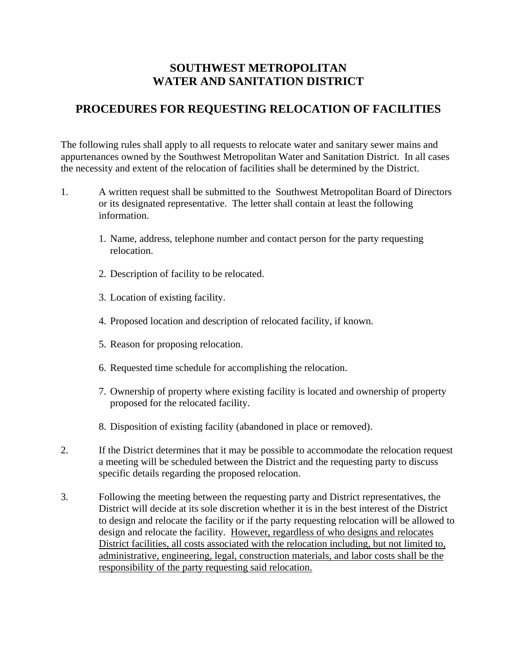## **SOUTHWEST METROPOLITAN WATER AND SANITATION DISTRICT**

## **PROCEDURES FOR REQUESTING RELOCATION OF FACILITIES**

The following rules shall apply to all requests to relocate water and sanitary sewer mains and appurtenances owned by the Southwest Metropolitan Water and Sanitation District. In all cases the necessity and extent of the relocation of facilities shall be determined by the District.

- 1. A written request shall be submitted to the Southwest Metropolitan Board of Directors or its designated representative. The letter shall contain at least the following information.
	- 1. Name, address, telephone number and contact person for the party requesting relocation.
	- 2. Description of facility to be relocated.
	- 3. Location of existing facility.
	- 4. Proposed location and description of relocated facility, if known.
	- 5. Reason for proposing relocation.
	- 6. Requested time schedule for accomplishing the relocation.
	- 7. Ownership of property where existing facility is located and ownership of property proposed for the relocated facility.
	- 8. Disposition of existing facility (abandoned in place or removed).
- 2. If the District determines that it may be possible to accommodate the relocation request a meeting will be scheduled between the District and the requesting party to discuss specific details regarding the proposed relocation.
- 3. Following the meeting between the requesting party and District representatives, the District will decide at its sole discretion whether it is in the best interest of the District to design and relocate the facility or if the party requesting relocation will be allowed to design and relocate the facility. However, regardless of who designs and relocates District facilities, all costs associated with the relocation including, but not limited to, administrative, engineering, legal, construction materials, and labor costs shall be the responsibility of the party requesting said relocation.